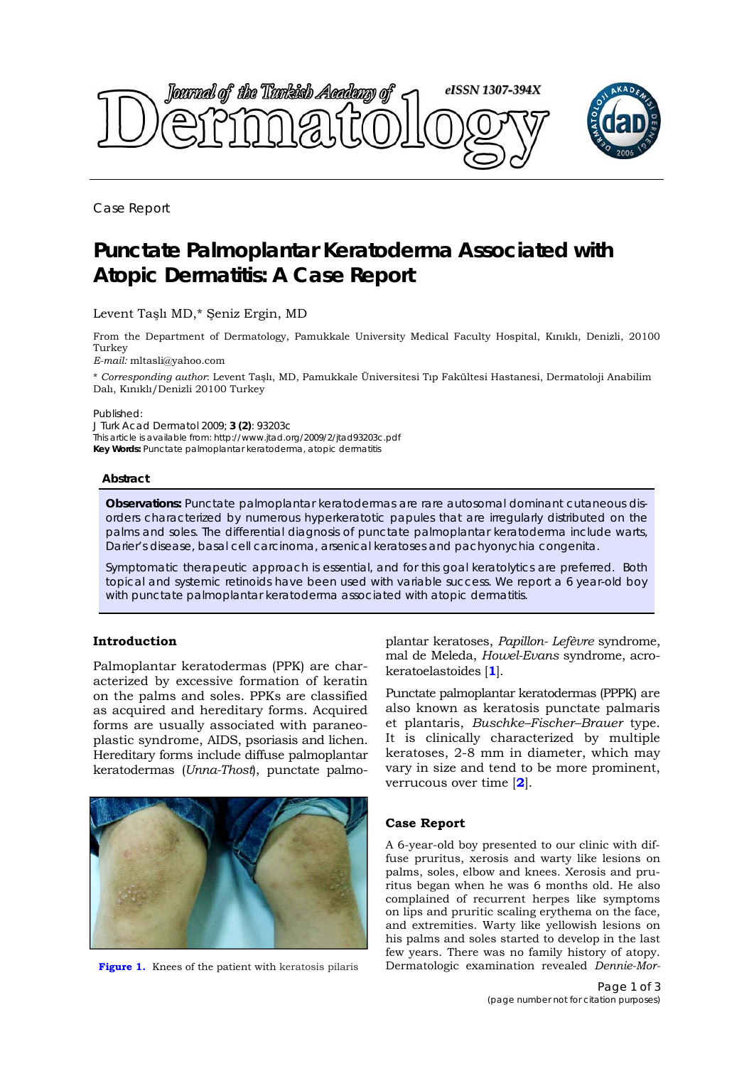

Case Report

# **Punctate Palmoplantar Keratoderma Associated with Atopic Dermatitis: A Case Report**

# Levent Taşlı MD,\* Şeniz Ergin, MD

From the Department of Dermatology, Pamukkale University Medical Faculty Hospital, Kınıklı, Denizli, 20100 Turkey

*E-mail:* mltasli@yahoo.com

\* *Corresponding author*: Levent Taşlı, MD, Pamukkale Üniversitesi Tıp Fakültesi Hastanesi, Dermatoloji Anabilim Dalı, Kınıklı/Denizli 20100 Turkey

Published:

*J Turk Acad Dermatol* 2009; **3 (2)**: 93203c This article is available from: http://www.jtad.org/2009/2/jtad93203c.pdf **Key Words:** Punctate palmoplantar keratoderma, atopic dermatitis

#### **Abstract**

**Observations:** Punctate palmoplantar keratodermas are rare autosomal dominant cutaneous disorders characterized by numerous hyperkeratotic papules that are irregularly distributed on the palms and soles. The differential diagnosis of punctate palmoplantar keratoderma include warts, *Darier*'s disease, basal cell carcinoma, arsenical keratoses and pachyonychia congenita.

Symptomatic therapeutic approach is essential, and for this goal keratolytics are preferred. Both topical and systemic retinoids have been used with variable success. We report a 6 year-old boy with punctate palmoplantar keratoderma associated with atopic dermatitis.

### **Introduction**

Palmoplantar keratodermas (PPK) are characterized by excessive formation of keratin on the palms and soles. PPKs are classified as acquired and hereditary forms. Acquired forms are usually associated with paraneoplastic syndrome, AIDS, psoriasis and lichen. Hereditary forms include diffuse palmoplantar keratodermas (*Unna-Thost*), punctate palmo-



**Figure 1.** Knees of the patient with keratosis pilaris

plantar keratoses, *Papillon- Lefèvre* syndrome, mal de Meleda, *Howel-Evans* syndrome, acrokeratoelastoides [**1**].

Punctate palmoplantar keratodermas (PPPK) are also known as keratosis punctate palmaris et plantaris, *Buschke–Fischer–Brauer* type. It is clinically characterized by multiple keratoses, 2-8 mm in diameter, which may vary in size and tend to be more prominent, verrucous over time [**2**].

### **Case Report**

A 6-year-old boy presented to our clinic with diffuse pruritus, xerosis and warty like lesions on palms, soles, elbow and knees. Xerosis and pruritus began when he was 6 months old. He also complained of recurrent herpes like symptoms on lips and pruritic scaling erythema on the face, and extremities. Warty like yellowish lesions on his palms and soles started to develop in the last few years. There was no family history of atopy. Dermatologic examination revealed *Dennie-Mor-*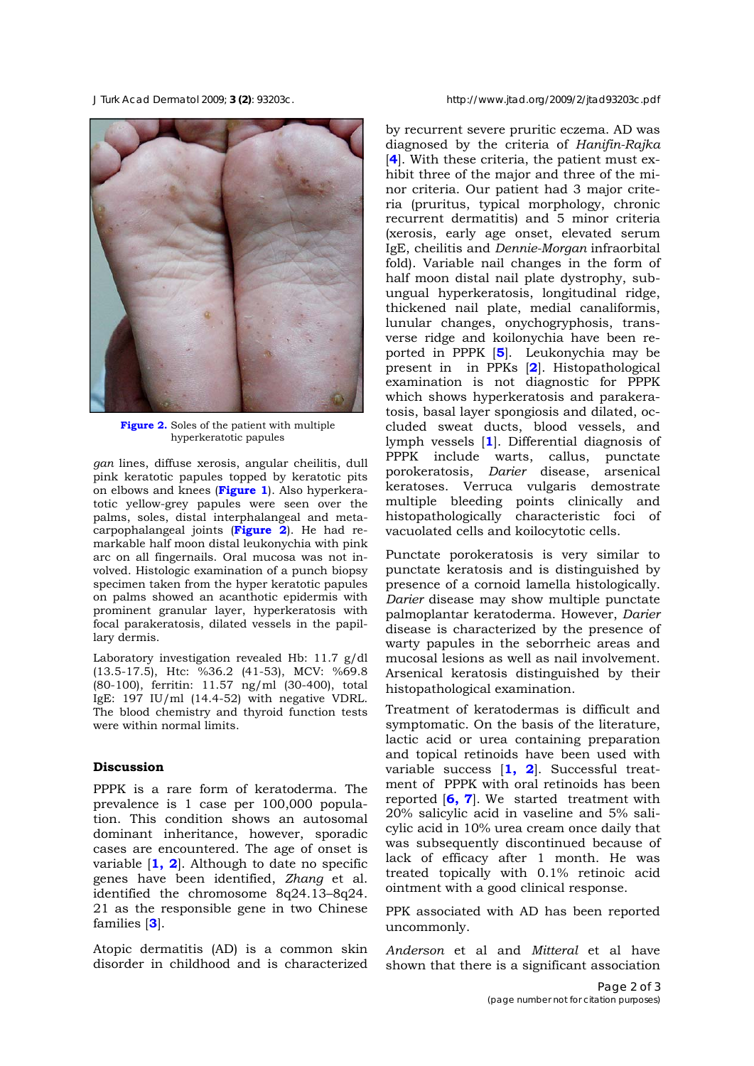

**Figure 2.** Soles of the patient with multiple hyperkeratotic papules

*gan* lines, diffuse xerosis, angular cheilitis, dull pink keratotic papules topped by keratotic pits on elbows and knees (**Figure 1**). Also hyperkeratotic yellow-grey papules were seen over the palms, soles, distal interphalangeal and metacarpophalangeal joints (**Figure 2**). He had remarkable half moon distal leukonychia with pink arc on all fingernails. Oral mucosa was not involved. Histologic examination of a punch biopsy specimen taken from the hyper keratotic papules on palms showed an acanthotic epidermis with prominent granular layer, hyperkeratosis with focal parakeratosis, dilated vessels in the papillary dermis.

Laboratory investigation revealed Hb: 11.7 g/dl (13.5-17.5), Htc: %36.2 (41-53), MCV: %69.8 (80-100), ferritin: 11.57 ng/ml (30-400), total IgE: 197 IU/ml (14.4-52) with negative VDRL. The blood chemistry and thyroid function tests were within normal limits.

### **Discussion**

PPPK is a rare form of keratoderma. The prevalence is 1 case per 100,000 population. This condition shows an autosomal dominant inheritance, however, sporadic cases are encountered. The age of onset is variable [**1, 2**]. Although to date no specific genes have been identified, *Zhang* et al. identified the chromosome 8q24.13–8q24. 21 as the responsible gene in two Chinese families [**3**].

Atopic dermatitis (AD) is a common skin disorder in childhood and is characterized

by recurrent severe pruritic eczema. AD was diagnosed by the criteria of *Hanifin-Rajka* [**4**]. With these criteria, the patient must exhibit three of the major and three of the minor criteria. Our patient had 3 major criteria (pruritus, typical morphology, chronic recurrent dermatitis) and 5 minor criteria (xerosis, early age onset, elevated serum IgE, cheilitis and *Dennie-Morgan* infraorbital fold). Variable nail changes in the form of half moon distal nail plate dystrophy, subungual hyperkeratosis, longitudinal ridge, thickened nail plate, medial canaliformis, lunular changes, onychogryphosis, transverse ridge and koilonychia have been reported in PPPK [**5**]. Leukonychia may be present in in PPKs [**2**]. Histopathological examination is not diagnostic for PPPK which shows hyperkeratosis and parakeratosis, basal layer spongiosis and dilated, occluded sweat ducts, blood vessels, and lymph vessels [**1**]. Differential diagnosis of PPPK include warts, callus, punctate porokeratosis, *Darier* disease, arsenical keratoses. Verruca vulgaris demostrate multiple bleeding points clinically and histopathologically characteristic foci of vacuolated cells and koilocytotic cells.

Punctate porokeratosis is very similar to punctate keratosis and is distinguished by presence of a cornoid lamella histologically. *Darier* disease may show multiple punctate palmoplantar keratoderma. However, *Darier* disease is characterized by the presence of warty papules in the seborrheic areas and mucosal lesions as well as nail involvement. Arsenical keratosis distinguished by their histopathological examination.

Treatment of keratodermas is difficult and symptomatic. On the basis of the literature, lactic acid or urea containing preparation and topical retinoids have been used with variable success [**1, 2**]. Successful treatment of PPPK with oral retinoids has been reported [**6, 7**]. We started treatment with 20% salicylic acid in vaseline and 5% salicylic acid in 10% urea cream once daily that was subsequently discontinued because of lack of efficacy after 1 month. He was treated topically with 0.1% retinoic acid ointment with a good clinical response.

PPK associated with AD has been reported uncommonly.

*Anderson* et al and *Mitteral* et al have shown that there is a significant association